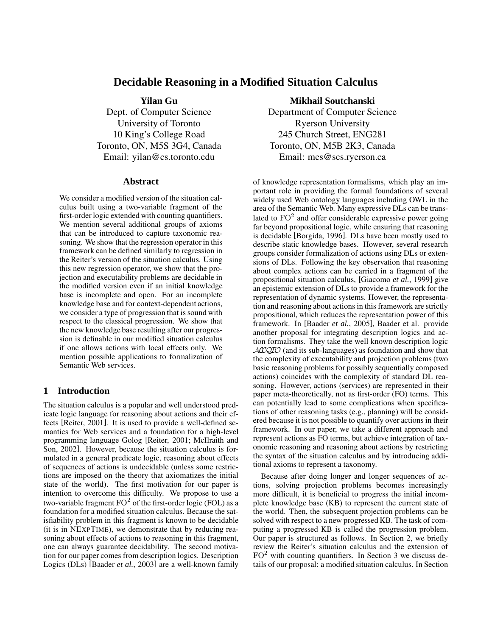# **Decidable Reasoning in a Modified Situation Calculus**

**Yilan Gu**

Dept. of Computer Science University of Toronto 10 King's College Road Toronto, ON, M5S 3G4, Canada Email: yilan@cs.toronto.edu

#### **Abstract**

We consider a modified version of the situation calculus built using a two-variable fragment of the first-order logic extended with counting quantifiers. We mention several additional groups of axioms that can be introduced to capture taxonomic reasoning. We show that the regression operator in this framework can be defined similarly to regression in the Reiter's version of the situation calculus. Using this new regression operator, we show that the projection and executability problems are decidable in the modified version even if an initial knowledge base is incomplete and open. For an incomplete knowledge base and for context-dependent actions, we consider a type of progression that is sound with respect to the classical progression. We show that the new knowledge base resulting after our progression is definable in our modified situation calculus if one allows actions with local effects only. We mention possible applications to formalization of Semantic Web services.

## **1 Introduction**

The situation calculus is a popular and well understood predicate logic language for reasoning about actions and their effects [Reiter, 2001]. It is used to provide a well-defined semantics for Web services and a foundation for a high-level programming language Golog [Reiter, 2001; McIlraith and Son, 2002]. However, because the situation calculus is formulated in a general predicate logic, reasoning about effects of sequences of actions is undecidable (unless some restrictions are imposed on the theory that axiomatizes the initial state of the world). The first motivation for our paper is intention to overcome this difficulty. We propose to use a two-variable fragment  $\mathrm{FO}^2$  of the first-order logic (FOL) as a foundation for a modified situation calculus. Because the satisfiability problem in this fragment is known to be decidable (it is in NEXPTIME), we demonstrate that by reducing reasoning about effects of actions to reasoning in this fragment, one can always guarantee decidability. The second motivation for our paper comes from description logics. Description Logics (DLs) [Baader *et al.*, 2003] are a well-known family

### **Mikhail Soutchanski**

Department of Computer Science Ryerson University 245 Church Street, ENG281 Toronto, ON, M5B 2K3, Canada Email: mes@scs.ryerson.ca

of knowledge representation formalisms, which play an important role in providing the formal foundations of several widely used Web ontology languages including OWL in the area of the Semantic Web. Many expressive DLs can be translated to  $FO<sup>2</sup>$  and offer considerable expressive power going far beyond propositional logic, while ensuring that reasoning is decidable [Borgida, 1996]. DLs have been mostly used to describe static knowledge bases. However, several research groups consider formalization of actions using DLs or extensions of DLs. Following the key observation that reasoning about complex actions can be carried in a fragment of the propositional situation calculus, [Giacomo *et al.*, 1999] give an epistemic extension of DLs to provide a framework for the representation of dynamic systems. However, the representation and reasoning about actions in this framework are strictly propositional, which reduces the representation power of this framework. In [Baader *et al.*, 2005], Baader et al. provide another proposal for integrating description logics and action formalisms. They take the well known description logic ALCQIO (and its sub-languages) as foundation and show that the complexity of executability and projection problems (two basic reasoning problems for possibly sequentially composed actions) coincides with the complexity of standard DL reasoning. However, actions (services) are represented in their paper meta-theoretically, not as first-order (FO) terms. This can potentially lead to some complications when specifications of other reasoning tasks (e.g., planning) will be considered because it is not possible to quantify over actions in their framework. In our paper, we take a different approach and represent actions as FO terms, but achieve integration of taxonomic reasoning and reasoning about actions by restricting the syntax of the situation calculus and by introducing additional axioms to represent a taxonomy.

Because after doing longer and longer sequences of actions, solving projection problems becomes increasingly more difficult, it is beneficial to progress the initial incomplete knowledge base (KB) to represent the current state of the world. Then, the subsequent projection problems can be solved with respect to a new progressed KB. The task of computing a progressed KB is called the progression problem. Our paper is structured as follows. In Section 2, we briefly review the Reiter's situation calculus and the extension of  $FO<sup>2</sup>$  with counting quantifiers. In Section 3 we discuss details of our proposal: a modified situation calculus. In Section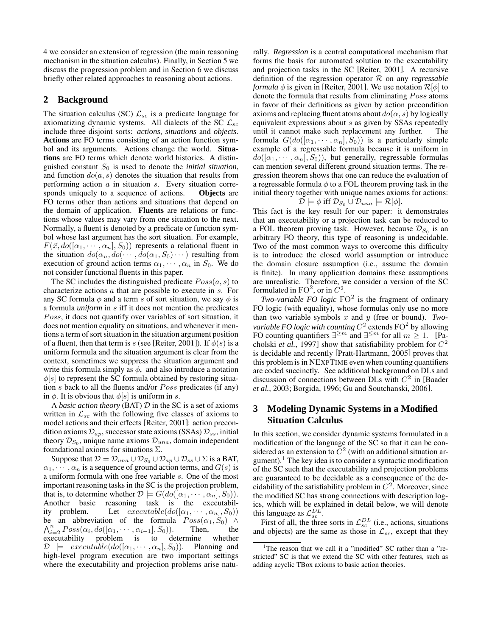4 we consider an extension of regression (the main reasoning mechanism in the situation calculus). Finally, in Section 5 we discuss the progression problem and in Section 6 we discuss briefly other related approaches to reasoning about actions.

## **2 Background**

The situation calculus (SC)  $\mathcal{L}_{sc}$  is a predicate language for axiomatizing dynamic systems. All dialects of the SC  $\mathcal{L}_{sc}$ include three disjoint sorts: *actions*, *situations* and *objects*. **Actions** are FO terms consisting of an action function symbol and its arguments. Actions change the world. **Situations** are FO terms which denote world histories. A distinguished constant  $S_0$  is used to denote the *initial situation*, and function  $do(a, s)$  denotes the situation that results from performing action  $\alpha$  in situation  $\beta$ . Every situation corresponds uniquely to a sequence of actions. **Objects** are FO terms other than actions and situations that depend on the domain of application. **Fluents** are relations or functions whose values may vary from one situation to the next. Normally, a fluent is denoted by a predicate or function symbol whose last argument has the sort situation. For example,  $F(\vec{x}, do([\alpha_1, \cdots, \alpha_n], S_0))$  represents a relational fluent in the situation  $do(\alpha_n, do(\cdots, do(\alpha_1, S_0) \cdots)$  resulting from execution of ground action terms  $\alpha_1, \dots, \alpha_n$  in  $S_0$ . We do not consider functional fluents in this paper.

The SC includes the distinguished predicate  $Poss(a, s)$  to characterize actions a that are possible to execute in s. For any SC formula  $\phi$  and a term s of sort situation, we say  $\phi$  is a formula *uniform* in s iff it does not mention the predicates Poss, it does not quantify over variables of sort situation, it does not mention equality on situations, and whenever it mentions a term of sort situation in the situation argument position of a fluent, then that term is s (see [Reiter, 2001]). If  $\phi(s)$  is a uniform formula and the situation argument is clear from the context, sometimes we suppress the situation argument and write this formula simply as  $\phi$ , and also introduce a notation  $\phi[s]$  to represent the SC formula obtained by restoring situation s back to all the fluents and/or Poss predicates (if any) in  $\phi$ . It is obvious that  $\phi[s]$  is uniform in s.

A *basic action theory* (BAT) D in the SC is a set of axioms written in  $\mathcal{L}_{sc}$  with the following five classes of axioms to model actions and their effects [Reiter, 2001]: action precondition axioms  $\mathcal{D}_{ap}$ , successor state axioms (SSAs)  $\mathcal{D}_{ss}$ , initial theory  $\mathcal{D}_{S_0}$ , unique name axioms  $\mathcal{D}_{una}$ , domain independent foundational axioms for situations Σ.

Suppose that  $\mathcal{D} = \mathcal{D}_{una} \cup \mathcal{D}_{S_0} \cup \mathcal{D}_{ap} \cup \mathcal{D}_{ss} \cup \Sigma$  is a BAT,  $\alpha_1, \cdots, \alpha_n$  is a sequence of ground action terms, and  $G(s)$  is a uniform formula with one free variable s. One of the most important reasoning tasks in the SC is the projection problem, that is, to determine whether  $\mathcal{D} \models G(do([\alpha_1, \cdots, \alpha_n], S_0)).$ Another basic reasoning task is the executability problem. Let  $execute(do([\alpha_1, \cdots, \alpha_n], S_0))$  $\bigwedge_{i=2}^{n} Poss(\alpha_i, do([\alpha_1, \cdots, \alpha_{i-1}], S_0)).$  Then, the be an abbreviation of the formula  $Poss(\alpha_1, \dot{S}_0)$   $\wedge$ executability problem is to determine whether  $\mathcal{D} \models \; \mathit{executable}(do([\alpha_1, \cdots, \alpha_n], S_0)).$  Planning and high-level program execution are two important settings where the executability and projection problems arise natu-

rally. *Regression* is a central computational mechanism that forms the basis for automated solution to the executability and projection tasks in the SC [Reiter, 2001]. A recursive definition of the regression operator R on any *regressable formula*  $\phi$  is given in [Reiter, 2001]. We use notation  $\mathcal{R}[\phi]$  to denote the formula that results from eliminating Poss atoms in favor of their definitions as given by action precondition axioms and replacing fluent atoms about  $do(\alpha, s)$  by logically equivalent expressions about s as given by SSAs repeatedly until it cannot make such replacement any further. The formula  $G(do([\alpha_1, \cdots, \alpha_n], S_0))$  is a particularly simple example of a regressable formula because it is uniform in  $do([\alpha_1, \cdots, \alpha_n], S_0)$ , but generally, regressable formulas can mention several different ground situation terms. The regression theorem shows that one can reduce the evaluation of a regressable formula  $\phi$  to a FOL theorem proving task in the initial theory together with unique names axioms for actions:  $\mathcal{D} \models \phi \text{ iff } \mathcal{D}_{S_0} \cup \mathcal{D}_{una} \models \mathcal{R}[\phi].$ 

This fact is the key result for our paper: it demonstrates that an executability or a projection task can be reduced to a FOL theorem proving task. However, because  $\mathcal{D}_{S_0}$  is an arbitrary FO theory, this type of reasoning is undecidable. Two of the most common ways to overcome this difficulty is to introduce the closed world assumption or introduce the domain closure assumption (i.e., assume the domain is finite). In many application domains these assumptions are unrealistic. Therefore, we consider a version of the SC formulated in  $FO^2$ , or in  $C^2$ .

*Two-variable FO logic* FO 2 is the fragment of ordinary FO logic (with equality), whose formulas only use no more than two variable symbols x and y (free or bound). *Two*variable FO logic with counting  $C^2$  extends  $\mathrm{FO}^2$  by allowing FO counting quantifiers  $\exists^{\geq m}$  and  $\exists^{\leq m}$  for all  $m \geq 1$ . [Pacholski *et al.*, 1997] show that satisfiability problem for  $C^2$ is decidable and recently [Pratt-Hartmann, 2005] proves that this problem is in NEXPTIME even when counting quantifiers are coded succinctly. See additional background on DLs and discussion of connections between DLs with  $C^2$  in [Baader *et al.*, 2003; Borgida, 1996; Gu and Soutchanski, 2006].

## **3 Modeling Dynamic Systems in a Modified Situation Calculus**

In this section, we consider dynamic systems formulated in a modification of the language of the SC so that it can be considered as an extension to  $\overline{C}^2$  (with an additional situation argument).<sup>1</sup> The key idea is to consider a syntactic modification of the SC such that the executability and projection problems are guaranteed to be decidable as a consequence of the decidability of the satisfiability problem in  $C^2$ . Moreover, since the modified SC has strong connections with description logics, which will be explained in detail below, we will denote this language as  $\mathcal{L}_{sc}^{DL}$ .

First of all, the three sorts in  $\mathcal{L}_{sc}^{DL}$  (i.e., actions, situations and objects) are the same as those in  $\mathcal{L}_{sc}$ , except that they

<sup>&</sup>lt;sup>1</sup>The reason that we call it a "modified" SC rather than a "restricted" SC is that we extend the SC with other features, such as adding acyclic TBox axioms to basic action theories.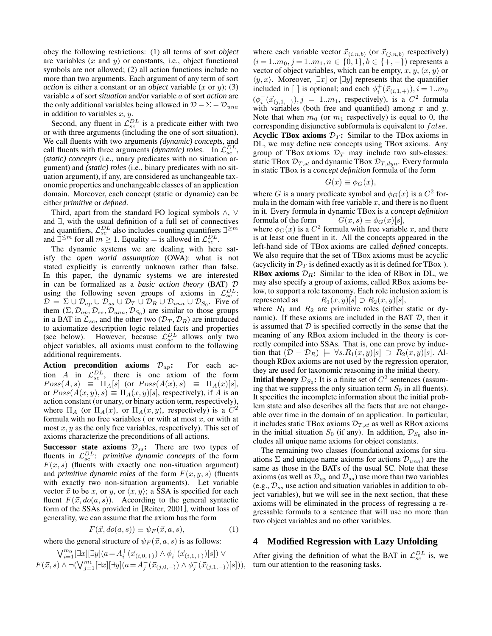obey the following restrictions: (1) all terms of sort *object* are variables  $(x \text{ and } y)$  or constants, i.e., object functional symbols are not allowed; (2) all action functions include no more than two arguments. Each argument of any term of sort *action* is either a constant or an *object* variable  $(x \text{ or } y)$ ; (3) variable s of sort *situation* and/or variable a of sort *action* are the only additional variables being allowed in  $\mathcal{D} - \Sigma - \mathcal{D}_{una}$ in addition to variables  $x, y$ .

Second, any fluent in  $\mathcal{L}_{sc}^{DL}$  is a predicate either with two or with three arguments (including the one of sort situation). We call fluents with two arguments *(dynamic) concepts*, and call fluents with three arguments *(dynamic) roles*. In  $\mathcal{L}_{sc}^{DL}$ , *(static) concepts* (i.e., unary predicates with no situation argument) and *(static) roles* (i.e., binary predicates with no situation argument), if any, are considered as unchangeable taxonomic properties and unchangeable classes of an application domain. Moreover, each concept (static or dynamic) can be either *primitive* or *defined*.

Third, apart from the standard FO logical symbols ∧, ∨ and ∃, with the usual definition of a full set of connectives and quantifiers,  $\mathcal{L}_{sc}^{DL}$  also includes counting quantifiers  $\exists^{\geq m}$ and  $\exists^{\leq m}$  for all  $m \geq 1$ . Equality = is allowed in  $\mathcal{L}_{sc}^{DL}$ .

The dynamic systems we are dealing with here satisfy the *open world assumption* (OWA): what is not stated explicitly is currently unknown rather than false. In this paper, the dynamic systems we are interested in can be formalized as a *basic action theory* (BAT) D using the following seven groups of axioms in  $\mathcal{L}_{sc}^{DL}$ :  $\mathcal{D} = \Sigma \cup \mathcal{D}_{ap} \cup \mathcal{D}_{ss} \cup \mathcal{D}_T \cup \mathcal{D}_R \cup \mathcal{D}_{una} \cup \mathcal{D}_{S_0}$ . Five of them  $(\Sigma, \mathcal{D}_{ap}, \mathcal{D}_{ss}, \mathcal{D}_{una}, \mathcal{D}_{S_0})$  are similar to those groups in a BAT in  $\mathcal{L}_{sc}$ , and the other two  $(\mathcal{D}_T, \mathcal{D}_R)$  are introduced to axiomatize description logic related facts and properties (see below). However, because  $\mathcal{L}_{sc}^{DL}$  allows only two object variables, all axioms must conform to the following additional requirements.

**Action precondition axioms**  $\mathcal{D}_{ap}$ : For each action A in  $\mathcal{L}_{sc}^{DL}$ , there is one axiom of the form  $Poss(A, s) \equiv \prod_{A}[s]$  (or  $Poss(A(x), s) \equiv \prod_{A}(x)[s],$ or  $Poss(A(x, y), s) \equiv \Pi_A(x, y)[s]$ , respectively), if A is an action constant (or unary, or binary action term, respectively), where  $\Pi_A$  (or  $\Pi_A(x)$ , or  $\Pi_A(x, y)$ , respectively) is a  $C^2$ formula with no free variables (or with at most  $x$ , or with at most  $x, y$  as the only free variables, respectively). This set of axioms characterize the preconditions of all actions.

**Successor state axioms**  $\mathcal{D}_{ss}$ : There are two types of fluents in  $\mathcal{L}_{sc}^{DL}$ : *primitive dynamic concepts* of the form  $F(x, s)$  (fluents with exactly one non-situation argument) and *primitive* dynamic roles of the form  $F(x, y, s)$  (fluents with exactly two non-situation arguments). Let variable vector  $\vec{x}$  to be x, or y, or  $\langle x, y \rangle$ ; a SSA is specified for each fluent  $F(\vec{x}, do(a, s))$ . According to the general syntactic form of the SSAs provided in [Reiter, 2001], without loss of generality, we can assume that the axiom has the form

$$
F(\vec{x}, do(a, s)) \equiv \psi_F(\vec{x}, a, s), \tag{1}
$$

where the general structure of  $\psi_F(\vec{x}, a, s)$  is as follows:

$$
\begin{array}{c}\n\bigvee_{i=1}^{m_{0}}[\exists x][\exists y](a=A_{i}^{+}(\vec{x}_{(i,0,+)})\wedge\phi_{i}^{+}(\vec{x}_{(i,1,+)})[s])\vee\\
F(\vec{x},s)\wedge\neg\bigvee_{j=1}^{m_{1}}[\exists x][\exists y](a=A_{j}^{-}(\vec{x}_{(j,0,-)})\wedge\phi_{j}^{-}(\vec{x}_{(j,1,-)})[s])\big),\n\end{array}
$$

where each variable vector  $\vec{x}_{(i,n,b)}$  (or  $\vec{x}_{(j,n,b)}$  respectively)  $(i = 1..m_0, j = 1..m_1, n \in \{0,1\}, b \in \{+, -\})$  represents a vector of object variables, which can be empty, x, y,  $\langle x, y \rangle$  or  $\langle y, x \rangle$ . Moreover,  $[\exists x]$  or  $[\exists y]$  represents that the quantifier included in [ ] is optional; and each  $\phi_i^+(\vec{x}_{(i,1,+)})$ ,  $i = 1..m_0$  $(\phi_i^-(\vec{x}_{(j,1,-)}), j = 1..m_1$ , respectively), is a  $C^2$  formula with variables (both free and quantified) among  $x$  and  $y$ . Note that when  $m_0$  (or  $m_1$  respectively) is equal to 0, the corresponding disjunctive subformula is equivalent to false. **Acyclic TBox axioms**  $\mathcal{D}_T$ : Similar to the TBox axioms in DL, we may define new concepts using TBox axioms. Any group of TBox axioms  $\mathcal{D}_T$  may include two sub-classes: static TBox  $\mathcal{D}_{T,st}$  and dynamic TBox  $\mathcal{D}_{T,dyn}$ . Every formula in static TBox is a *concept definition* formula of the form

$$
G(x) \equiv \phi_G(x),
$$

where G is a unary predicate symbol and  $\phi_G(x)$  is a  $C^2$  formula in the domain with free variable  $x$ , and there is no fluent in it. Every formula in dynamic TBox is a *concept definition* formula of the form  $G(x, s) \equiv \phi_G(x)[s],$ 

where  $\phi_G(x)$  is a  $C^2$  formula with free variable x, and there is at least one fluent in it. All the concepts appeared in the left-hand side of TBox axioms are called *defined* concepts. We also require that the set of TBox axioms must be acyclic (acyclicity in  $\mathcal{D}_T$  is defined exactly as it is defined for TBox). **RBox** axioms  $\mathcal{D}_R$ : Similar to the idea of RBox in DL, we may also specify a group of axioms, called RBox axioms below, to support a role taxonomy. Each role inclusion axiom is represented as  $R_1(x, y)[s] \supset R_2(x, y)[s],$ 

where  $R_1$  and  $R_2$  are primitive roles (either static or dynamic). If these axioms are included in the BAT  $D$ , then it is assumed that  $D$  is specified correctly in the sense that the meaning of any RBox axiom included in the theory is correctly compiled into SSAs. That is, one can prove by induction that  $(\mathcal{D} - \mathcal{D}_R) \models \forall s.R_1(x,y)[s] \supset R_2(x,y)[s]$ . Although RBox axioms are not used by the regression operator, they are used for taxonomic reasoning in the initial theory.

**Initial theory**  $\mathcal{D}_{S_0}$ **: It is a finite set of**  $C^2$  **sentences (assum**ing that we suppress the only situation term  $S_0$  in all fluents). It specifies the incomplete information about the initial problem state and also describes all the facts that are not changeable over time in the domain of an application. In particular, it includes static TBox axioms  $\mathcal{D}_{T,st}$  as well as RBox axioms in the initial situation  $S_0$  (if any). In addition,  $\mathcal{D}_{S_0}$  also includes all unique name axioms for object constants.

The remaining two classes (foundational axioms for situations  $\Sigma$  and unique name axioms for actions  $\mathcal{D}_{una}$  are the same as those in the BATs of the usual SC. Note that these axioms (as well as  $\mathcal{D}_{ap}$  and  $\mathcal{D}_{ss}$ ) use more than two variables (e.g.,  $\mathcal{D}_{ss}$  use action and situation variables in addition to object variables), but we will see in the next section, that these axioms will be eliminated in the process of regressing a regressable formula to a sentence that will use no more than two object variables and no other variables.

## **4 Modified Regression with Lazy Unfolding**

After giving the definition of what the BAT in  $\mathcal{L}_{sc}^{DL}$  is, we turn our attention to the reasoning tasks.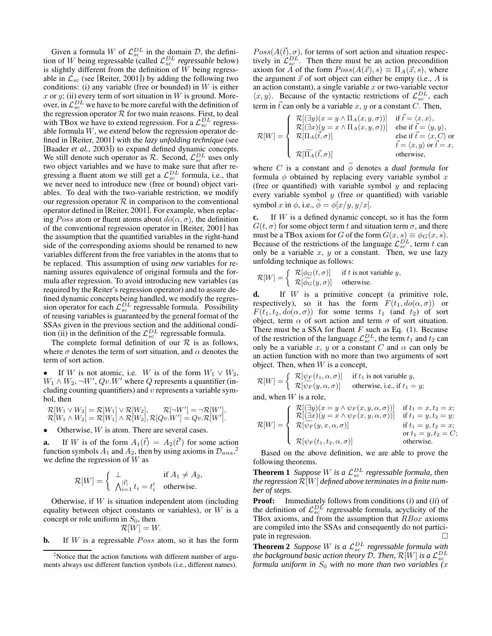Given a formula W of  $\mathcal{L}_{sc}^{DL}$  in the domain D, the definition of W being regressable (called  $\mathcal{L}_{sc}^{DL}$  *regressable* below) is slightly different from the definition of  $W$  being regressable in  $\mathcal{L}_{sc}$  (see [Reiter, 2001]) by adding the following two conditions: (i) any variable (free or bounded) in  $W$  is either x or  $y$ ; (ii) every term of sort situation in W is ground. Moreover, in  $\mathcal{L}_{sc}^{DL}$  we have to be more careful with the definition of the regression operator  $R$  for two main reasons. First, to deal with TBox we have to extend regression. For a  $\mathcal{L}_{sc}^{DL}$  regressable formula W, we *extend* below the regression operator defined in [Reiter, 2001] with the *lazy unfolding technique* (see [Baader *et al.*, 2003]) to expand defined dynamic concepts. We still denote such operator as  $\mathcal{R}$ . Second,  $\mathcal{L}_{sc}^{DL}$  uses only two object variables and we have to make sure that after regressing a fluent atom we still get a  $\mathcal{L}_{sc}^{DL}$  formula, i.e., that we never need to introduce new (free or bound) object variables. To deal with the two-variable restriction, we modify our regression operator  $R$  in comparison to the conventional operator defined in [Reiter, 2001]. For example, when replacing Poss atom or fluent atoms about  $do(\alpha, \sigma)$ , the definition of the conventional regression operator in [Reiter, 2001] has the assumption that the quantified variables in the right-hand side of the corresponding axioms should be renamed to new variables different from the free variables in the atoms that to be replaced. This assumption of using *new* variables for renaming assures equivalence of original formula and the formula after regression. To avoid introducing new variables (as required by the Reiter's regression operator) and to assure defined dynamic concepts being handled, we modify the regression operator for each  $\mathcal{L}_{sc}^{DL}$  regressable formula. Possibility of reusing variables is guaranteed by the general format of the SSAs given in the previous section and the additional condition (ii) in the definition of the  $\mathcal{L}_{sc}^{DL}$  regressable formula.

The complete formal definition of our  $R$  is as follows, where  $\sigma$  denotes the term of sort situation, and  $\alpha$  denotes the term of sort action.

If W is not atomic, i.e. W is of the form  $W_1 \vee W_2$ ,  $W_1 \wedge W_2, \neg W', Qv.W'$  where Q represents a quantifier (including counting quantifiers) and  $v$  represents a variable symbol, then

$$
\mathcal{R}[W_1 \vee W_2] = \mathcal{R}[W_1] \vee \mathcal{R}[W_2], \qquad \mathcal{R}[\neg W'] = \neg \mathcal{R}[W'],
$$
  

$$
\mathcal{R}[W_1 \wedge W_2] = \mathcal{R}[W_1] \wedge \mathcal{R}[W_2], \mathcal{R}[Qv.W'] = Qv.\mathcal{R}[W'].
$$

Otherwise,  $W$  is atom. There are several cases.

**a.** If W is of the form  $A_1(\vec{t}) = A_2(\vec{t}')$  for some action function symbols  $A_1$  and  $A_2$ , then by using axioms in  $\mathcal{D}_{una}^2$ , we define the regression of  $W$  as

$$
\mathcal{R}[W] = \begin{cases} \perp & \text{if } A_1 \neq A_2, \\ \bigwedge_{i=1}^{|\vec{t}|} t_i = t'_i & \text{otherwise.} \end{cases}
$$

Otherwise, if  $W$  is situation independent atom (including equality between object constants or variables), or  $W$  is a concept or role uniform in  $S_0$ , then

$$
\mathcal{R}[W] = W.
$$

**b.** If W is a regressable *Poss* atom, so it has the form

 $Poss(A(\vec{t}), \sigma)$ , for terms of sort action and situation respectively in  $\mathcal{L}_{sc}^{DL}$ . Then there must be an action precondition axiom for A of the form  $Poss(A(\vec{x}), s) \equiv \Pi_A(\vec{x}, s)$ , where the argument  $\vec{x}$  of sort object can either be empty (i.e., A is an action constant), a single variable  $x$  or two-variable vector  $\langle x, y \rangle$ . Because of the syntactic restrictions of  $\mathcal{L}_{sc}^{DL}$ , each term in  $\vec{t}$  can only be a variable x, y or a constant C. Then,

$$
\mathcal{R}[W] = \left\{ \begin{array}{ll} \mathcal{R}[(\exists y)(x = y \land \Pi_A(x, y, \sigma))] & \text{if } \vec{t} = \langle x, x \rangle, \\ \mathcal{R}[(\exists x)(y = x \land \Pi_A(x, y, \sigma))] & \text{else if } \vec{t} = \langle y, y \rangle, \\ \mathcal{R}[\Pi_A(\vec{t}, \sigma)] & \text{else if } \vec{t} = \langle x, C \rangle \text{ or} \\ \mathcal{R}[\widetilde{\Pi_A}(\vec{t}, \sigma)] & \vec{t} = x, \\ \mathcal{R}[\widetilde{\Pi_A}(\vec{t}, \sigma)] & \text{otherwise,} \end{array} \right.
$$

where C is a constant and  $\widetilde{\phi}$  denotes a *dual formula* for formula  $\phi$  obtained by replacing every variable symbol x (free or quantified) with variable symbol  $y$  and replacing every variable symbol  $y$  (free or quantified) with variable symbol x in  $\phi$ , i.e.,  $\phi = \phi[x/y, y/x]$ .

**c.** If W is a defined dynamic concept, so it has the form  $G(t, \sigma)$  for some object term t and situation term  $\sigma$ , and there must be a TBox axiom for G of the form  $G(x, s) \equiv \phi_G(x, s)$ . Because of the restrictions of the language  $\mathcal{L}_{sc}^{DL}$ , term t can only be a variable  $x$ ,  $y$  or a constant. Then, we use lazy unfolding technique as follows:

$$
\mathcal{R}[W] = \left\{ \begin{array}{ll} \mathcal{R}[\phi_G(t,\sigma)] & \text{if } t \text{ is not variable } y, \\ \mathcal{R}[\widetilde{\phi_G}(y,\sigma)] & \text{otherwise.} \end{array} \right.
$$

**d.** If W is a primitive concept (a primitive role, respectively), so it has the form  $F(t_1, do(\alpha, \sigma))$  or  $F(t_1,t_2, do(\alpha,\sigma))$  for some terms  $t_1$  (and  $t_2$ ) of sort object, term  $\alpha$  of sort action and term  $\sigma$  of sort situation. There must be a SSA for fluent  $F$  such as Eq. (1). Because of the restriction of the language  $\mathcal{L}_{sc}^{DL}$ , the term  $t_1$  and  $t_2$  can only be a variable x, y or a constant C and  $\alpha$  can only be an action function with no more than two arguments of sort object. Then, when  $W$  is a concept,

$$
\mathcal{R}[W] = \begin{cases} \mathcal{R}[\psi_F(t_1, \alpha, \sigma)] & \text{if } t_1 \text{ is not variable } y, \\ \mathcal{R}[\widetilde{\psi_F}(y, \alpha, \sigma)] & \text{otherwise, i.e., if } t_1 = y; \end{cases}
$$

and, when  $W$  is a role,

$$
\mathcal{R}[W] = \left\{ \begin{array}{ll} \mathcal{R}[(\exists y)(x = y \land \psi_F(x, y, \alpha, \sigma))] & \text{if } t_1 = x, t_2 = x; \\ \mathcal{R}[(\exists x)(y = x \land \psi_F(x, y, \alpha, \sigma))] & \text{if } t_1 = y, t_2 = y; \\ \mathcal{R}[\psi_F(y, x, \alpha, \sigma)] & \text{if } t_1 = y, t_2 = x; \\ \mathcal{R}[\psi_F(t_1, t_2, \alpha, \sigma)] & \text{otherwise.} \end{array} \right.
$$

Based on the above definition, we are able to prove the following theorems.

**Theorem 1** *Suppose W is a*  $\mathcal{L}_{sc}^{DL}$  *regressable formula, then*  $\hat{R}[W]$  *defined above terminates in a finite number of steps.*

**Proof:** Immediately follows from conditions (*i*) and (*ii*) of the definition of  $\mathcal{L}_{sc}^{DL}$  regressable formula, acyclicity of the TBox axioms, and from the assumption that  $RBox$  axioms are compiled into the SSAs and consequently do not participate in regression.

**Theorem 2** *Suppose W is a*  $\mathcal{L}_{sc}^{DL}$  *regressable formula with* the background basic action theory D. Then,  $\mathcal{R}[W]$  is a  $\mathcal{L}_{sc}^{DL}$ *formula uniform in*  $S_0$  *with no more than two variables* (*x* 

 $2$ Notice that the action functions with different number of arguments always use different function symbols (i.e., different names).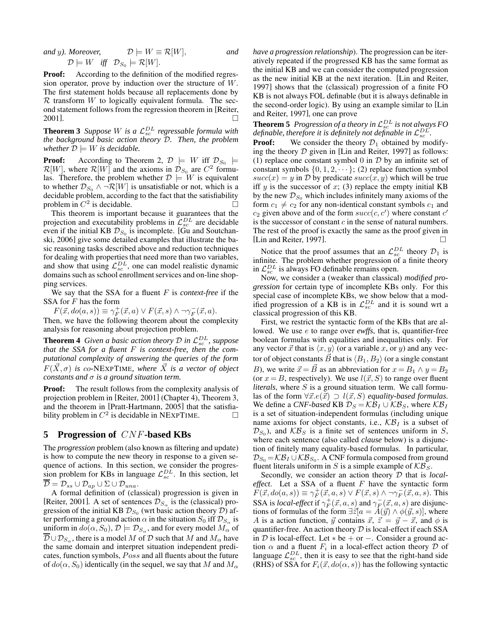*and* y). *Moreover,*  $D \models W \equiv \mathcal{R}[W]$ , and  $\mathcal{D}\models W \text{ iff } \mathcal{D}_{S_0}\models \mathcal{R}[W].$ 

**Proof:** According to the definition of the modified regression operator, prove by induction over the structure of W. The first statement holds because all replacements done by  $R$  transform  $W$  to logically equivalent formula. The second statement follows from the regression theorem in [Reiter,  $2001$ ].

**Theorem 3** *Suppose W is a*  $\mathcal{L}_{sc}^{DL}$  *regressable formula with the background basic action theory* D*. Then, the problem whether*  $D \models W$  *is decidable.* 

**Proof:** According to Theorem 2,  $\mathcal{D}$   $\models$   $W$  iff  $\mathcal{D}_{S_0}$   $\models$  $\mathcal{R}[W]$ , where  $\mathcal{R}[W]$  and the axioms in  $\mathcal{D}_{S_0}$  are  $C^2$  formulas. Therefore, the problem whether  $\mathcal{D} \models W$  is equivalent to whether  $\mathcal{D}_{S_0} \wedge \neg \mathcal{R}[W]$  is unsatisfiable or not, which is a decidable problem, according to the fact that the satisfiability problem in  $C^2$  is decidable.

This theorem is important because it guarantees that the projection and executability problems in  $\mathcal{L}_{sc}^{DL}$  are decidable even if the initial KB  $\mathcal{D}_{S_0}$  is incomplete. [Gu and Soutchanski, 2006] give some detailed examples that illustrate the basic reasoning tasks described above and reduction techniques for dealing with properties that need more than two variables, and show that using  $\mathcal{L}_{sc}^{DL}$ , one can model realistic dynamic domains such as school enrollment services and on-line shopping services.

We say that the SSA for a fluent F is *context-free* if the SSA for F has the form

 $F(\vec{x}, do(a, s)) \equiv \gamma_F^+(\vec{x}, a) \vee F(\vec{x}, s) \wedge \neg \gamma_F^-(\vec{x}, a).$ 

Then, we have the following theorem about the complexity analysis for reasoning about projection problem.

**Theorem 4** *Given a basic action theory*  $\mathcal{D}$  *in*  $\mathcal{L}_{sc}^{DL}$ *, suppose that the SSA for a fluent* F *is context-free, then the computational complexity of answering the queries of the form*  $F(\vec{X}, \sigma)$  *is co-NEXPTIME, where*  $\vec{X}$  *is a vector of object constants and*  $\sigma$  *is a ground situation term.* 

**Proof:** The result follows from the complexity analysis of projection problem in [Reiter, 2001] (Chapter 4), Theorem 3, and the theorem in [Pratt-Hartmann, 2005] that the satisfiability problem in  $C^2$  is decidable in NEXPTIME.

### **5 Progression of** CNF**-based KBs**

The *progression* problem (also known as filtering and update) is how to compute the new theory in response to a given sequence of actions. In this section, we consider the progression problem for KBs in language  $\mathcal{L}_{sc}^{DL}$ . In this section, let  $\overline{\mathcal{D}} = \mathcal{D}_{ss} \cup \mathcal{D}_{ap} \cup \Sigma \cup \mathcal{D}_{una}.$ 

A formal definition of (classical) progression is given in [Reiter, 2001]. A set of sentences  $\mathcal{D}_{S_{\alpha}}$  is the (classical) progression of the initial KB  $\mathcal{D}_{S_0}$  (wrt basic action theory  $\mathcal{D}$ ) after performing a ground action  $\alpha$  in the situation  $S_0$  iff  $\mathcal{D}_{S_\alpha}$  is uniform in  $do(\alpha, S_0)$ ,  $\mathcal{D} \models \mathcal{D}_{S_\alpha}$ , and for every model  $M_\alpha$  of  $\mathcal{D} \cup \mathcal{D}_{S_\alpha}$ , there is a model M of D such that M and  $M_\alpha$  have the same domain and interpret situation independent predicates, function symbols, Poss and all fluents about the future of  $do(\alpha, S_0)$  identically (in the sequel, we say that M and  $M_\alpha$ 

*have a progression relationship*). The progression can be iteratively repeated if the progressed KB has the same format as the initial KB and we can consider the computed progression as the new initial KB at the next iteration. [Lin and Reiter, 1997] shows that the (classical) progression of a finite FO KB is not always FOL definable (but it is always definable in the second-order logic). By using an example similar to [Lin and Reiter, 1997], one can prove

**Theorem 5** Progression of a theory in  $\mathcal{L}_{sc}^{DL}$  is not always FO *definable, therefore it is definitely not definable in*  $\mathcal{L}_{sc}^{DL}$ .

**Proof:** We consider the theory  $\mathcal{D}_1$  obtained by modifying the theory  $D$  given in [Lin and Reiter, 1997] as follows: (1) replace one constant symbol 0 in  $\mathcal D$  by an infinite set of constant symbols  $\{0, 1, 2, \dots\}$ ; (2) replace function symbol  $succ(x) = y$  in D by predicate  $succ(x, y)$  which will be true iff  $y$  is the successor of  $x$ ; (3) replace the empty initial KB by the new  $\mathcal{D}_{S_0}$  which includes infinitely many axioms of the form  $c_1 \neq c_2$  for any non-identical constant symbols  $c_1$  and  $c_2$  given above and of the form  $succ(c, c')$  where constant  $c'$ is the successor of constant  $c$  in the sense of natural numbers. The rest of the proof is exactly the same as the proof given in [Lin and Reiter, 1997].

Notice that the proof assumes that an  $\mathcal{L}_{sc}^{DL}$  theory  $\mathcal{D}_1$  is infinite. The problem whether progression of a finite theory in  $\mathcal{L}_{sc}^{DL}$  is always FO definable remains open.

Now, we consider a (weaker than classical) *modified progression* for certain type of incomplete KBs only. For this special case of incomplete KBs, we show below that a modified progression of a KB is in  $\mathcal{L}_{sc}^{DL}$  and it is sound wrt a classical progression of this KB.

First, we restrict the syntactic form of the KBs that are allowed. We use e to range over *ewffs*, that is, quantifier-free boolean formulas with equalities and inequalities only. For any vector  $\vec{x}$  that is  $\langle x, y \rangle$  (or a variable x, or y) and any vector of object constants  $\vec{B}$  that is  $\langle B_1, B_2 \rangle$  (or a single constant B), we write  $\vec{x} = \vec{B}$  as an abbreviation for  $x = B_1 \wedge y = B_2$ (or  $x = B$ , respectively). We use  $l(\vec{x}, S)$  to range over fluent *literals*, where S is a ground situation term. We call formulas of the form  $\forall \vec{x}.e(\vec{x}) \supset l(\vec{x}, S)$  *equality-based formulas.* We define a *CNF-based* KB  $D_S = KB_I \cup KB_S$ , where  $KB_I$ is a set of situation-independent formulas (including unique name axioms for object constants, i.e.,  $KB<sub>I</sub>$  is a subset of  $\mathcal{D}_{S_0}$ ), and  $\mathcal{KB}_S$  is a finite set of sentences uniform in S, where each sentence (also called *clause* below) is a disjunction of finitely many equality-based formulas. In particular,  $\mathcal{D}_{S_0} = \mathcal{KB}_I \cup \mathcal{KB}_{S_0}$ . A CNF formula composed from ground fluent literals uniform in S is a simple example of  $K\mathcal{B}_S$ .

Secondly, we consider an action theory D that is *localeffect*. Let a SSA of a fluent  $F$  have the syntactic form  $\widetilde{F}(\vec{x}, do(a, s)) \equiv \gamma_F^+(\vec{x}, a, s) \vee F(\vec{x}, s) \wedge \neg \gamma_F^-(\vec{x}, a, s)$ . This SSA is *local-effect* if  $\gamma_F^+(\vec{x}, a, s)$  and  $\gamma_F^-(\vec{x}, a, s)$  are disjunctions of formulas of the form  $\exists \vec{z} [a = \vec{A}(\vec{y}) \wedge \phi(\vec{y}, s)]$ , where A is a action function,  $\vec{y}$  contains  $\vec{x}$ ,  $\vec{z} = \vec{y} - \vec{x}$ , and  $\phi$  is quantifier-free. An action theory  $D$  is local-effect if each SSA in D is local-effect. Let  $*$  be + or −. Consider a ground action  $\alpha$  and a fluent  $F_i$  in a local-effect action theory  $\mathcal D$  of language  $\mathcal{L}_{sc}^{DL}$ , then it is easy to see that the right-hand side (RHS) of SSA for  $F_i(\vec{x}, do(\alpha, s))$  has the following syntactic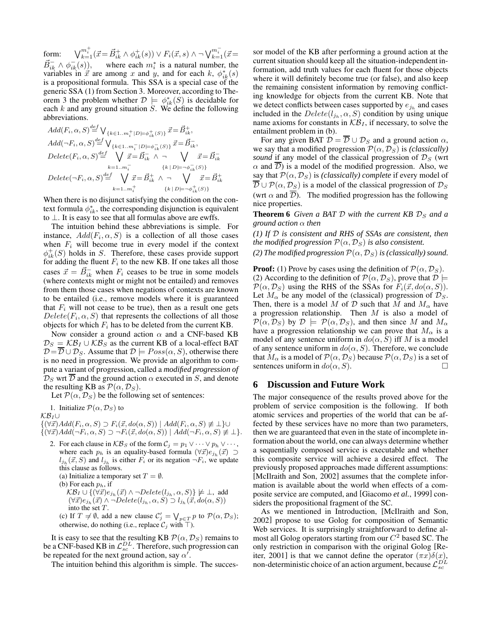form:  $\bigvee_{k=1}^{m_i^+} (\vec{x} = \vec{B}_{ik}^+ \wedge \phi_{ik}^+(s)) \vee F_i(\vec{x}, s) \wedge \neg \bigvee_{k=1}^{m_i^-} (\vec{x} =$  $\vec{B}_{ik}^- \wedge \phi_{ik}^- (s)$ , where each  $m_i^*$  is a natural number, the variables in  $\vec{x}$  are among x and y, and for each k,  $\phi_{ik}^*(s)$ is a propositional formula. This SSA is a special case of the generic SSA (1) from Section 3. Moreover, according to Theorem 3 the problem whether  $\mathcal{D} \models \phi_{ik}^*(S)$  is decidable for each  $k$  and any ground situation  $S$ . We define the following abbreviations.

$$
Add(F_i, \alpha, S) \stackrel{def}{=} \bigvee_{\{k \in 1..m_i^+ \mid D \models \phi_{ik}^+(S)\}} \vec{x} = \vec{B}_{ik}^+,
$$
  
\n
$$
Add(\neg F_i, \alpha, S) \stackrel{def}{=} \bigvee_{\{k \in 1..m_i^- \mid D \models \phi_{ik}^-(S)\}} \vec{x} = \vec{B}_{ik}^-,
$$
  
\n
$$
Delete(F_i, \alpha, S) \stackrel{def}{=} \bigvee_{k=1..m_i^-} \vec{x} = \vec{B}_{ik}^-, \wedge \neg \bigvee_{\{k \mid D \models \neg \phi_{ik}^-(S)\}} \vec{x} = \vec{B}_{ik}^-,
$$
  
\n
$$
Delete(\neg F_i, \alpha, S) \stackrel{def}{=} \bigvee_{k=1..m_i^+} \vec{x} = \vec{B}_{ik}^+, \wedge \neg \bigvee_{\vec{x}} \vec{x} = \vec{B}_{ik}^+,
$$
  
\n
$$
k = 1..m_i^+ \qquad \{k \mid D \models \neg \phi_{ik}^+(S)\}
$$

When there is no disjunct satisfying the condition on the context formula  $\phi_{ik}^*$ , the corresponding disjunction is equivalent to ⊥. It is easy to see that all formulas above are ewffs.

The intuition behind these abbreviations is simple. For instance,  $Add(F_i, \alpha, S)$  is a collection of all those cases when  $F_i$  will become true in every model if the context  $\phi_{ik}^{+}(S)$  holds in S. Therefore, these cases provide support for adding the fluent  $F_i$  to the new KB. If one takes all those cases  $\vec{x} = \vec{B}_{ik}^-$  when  $F_i$  ceases to be true in some models (where contexts might or might not be entailed) and removes from them those cases when negations of contexts are known to be entailed (i.e., remove models where it is guaranteed that  $F_i$  will not cease to be true), then as a result one gets  $Delete(F_i, \alpha, S)$  that represents the collections of all those objects for which  $F_i$  has to be deleted from the current KB.

Now consider a ground action  $\alpha$  and a CNF-based KB  $\mathcal{D}_S = \mathcal{KB}_I \cup \mathcal{KB}_S$  as the current KB of a local-effect BAT  $\mathcal{D} = \mathcal{D} \cup \mathcal{D}_S$ . Assume that  $\mathcal{D} \models Poss(\alpha, S)$ , otherwise there is no need in progression. We provide an algorithm to compute a variant of progression, called a *modified progression of*  $\mathcal{D}_S$  wrt  $\overline{\mathcal{D}}$  and the ground action  $\alpha$  executed in S, and denote the resulting KB as  $\mathcal{P}(\alpha, \mathcal{D}_S)$ .

Let  $\mathcal{P}(\alpha, \mathcal{D}_S)$  be the following set of sentences:

1. Initialize  $\mathcal{P}(\alpha, \mathcal{D}_S)$  to

 $KBI\cup$ 

 $\{(\forall \vec{x})Add(F_i, \alpha, S) \supset F_i(\vec{x}, do(\alpha, S)) | Add(F_i, \alpha, S) \not\equiv \bot\} \cup$  $\{(\forall \vec{x})Add(\neg F_i, \alpha, S) \supset \neg F_i(\vec{x}, do(\alpha, S)) | Add(\neg F_i, \alpha, S) \not\equiv \bot\}.$ 

2. For each clause in  $\mathcal{KB}_S$  of the form  $\mathcal{C}_j = p_1 \vee \cdots \vee p_h \vee \cdots$ , where each  $p_h$  is an equality-based formula  $(\forall \vec{x})e_{j_h}(\vec{x}) \supset$  $l_{j_h}(\vec{x}, S)$  and  $l_{j_h}$  is either  $F_i$  or its negation  $\neg F_i$ , we update this clause as follows. (a) Initialize a temporary set  $T = \emptyset$ . (b) For each  $p_h$ , if  $\mathcal{KB}_I \cup \{(\forall \vec{x})e_{j_h}(\vec{x}) \land \neg Delete(l_{j_h}, \alpha, S)\}\not\models \bot$ , add  $(\forall \vec{x})e_{j_h}(\vec{x}) \wedge \neg Delete(l_{j_h}, \alpha, S) \supset l_{j_h}(\vec{x}, do(\alpha, S))$ into the set T. (c) If  $T \neq \emptyset$ , add a new clause  $\mathcal{C}'_j = \bigvee_{p \in T} p$  to  $\mathcal{P}(\alpha, \mathcal{D}_S)$ ; otherwise, do nothing (i.e., replace  $C_j$  with  $\top$ ).

It is easy to see that the resulting KB  $\mathcal{P}(\alpha, \mathcal{D}_S)$  remains to be a CNF-based KB in  $\mathcal{L}_{sc}^{DL}$ . Therefore, such progression can be repeated for the next ground action, say  $\alpha'$ .

The intuition behind this algorithm is simple. The succes-

sor model of the KB after performing a ground action at the current situation should keep all the situation-independent information, add truth values for each fluent for those objects where it will definitely become true (or false), and also keep the remaining consistent information by removing conflicting knowledge for objects from the current KB. Note that we detect conflicts between cases supported by  $e_{j_h}$  and cases included in the  $Delete(l_{j_h}, \alpha, S)$  condition by using unique name axioms for constants in  $K\mathcal{B}<sub>I</sub>$ , if necessary, to solve the entailment problem in (b).

For any given BAT  $\mathcal{D} = \overline{\mathcal{D}} \cup \mathcal{D}_S$  and a ground action  $\alpha$ , we say that a modified progression  $P(\alpha, D_S)$  is *(classically) sound* if any model of the classical progression of  $\mathcal{D}_S$  (wrt  $\alpha$  and  $\overline{D}$ ) is a model of the modified progression. Also, we say that  $\mathcal{P}(\alpha, \mathcal{D}_S)$  is *(classically) complete* if every model of  $\overline{\mathcal{D}} \cup \mathcal{P}(\alpha, \mathcal{D}_S)$  is a model of the classical progression of  $\mathcal{D}_S$ (wrt  $\alpha$  and  $\overline{\mathcal{D}}$ ). The modified progression has the following nice properties.

**Theorem 6** *Given a BAT*  $D$  *with the current KB*  $D<sub>S</sub>$  *and a ground action* α *then*

*(1) If* D *is consistent and RHS of SSAs are consistent, then the modified progression*  $\mathcal{P}(\alpha, \mathcal{D}_S)$  *is also consistent.* 

*(2) The modified progression*  $\mathcal{P}(\alpha, \mathcal{D}_S)$  *is (classically) sound.* 

**Proof:** (1) Prove by cases using the definition of  $\mathcal{P}(\alpha, \mathcal{D}_S)$ . (2) According to the definition of  $\mathcal{P}(\alpha, \mathcal{D}_S)$ , prove that  $\mathcal{D} \models$  $\mathcal{P}(\alpha, \mathcal{D}_S)$  using the RHS of the SSAs for  $F_i(\vec{x}, do(\alpha, S)).$ Let  $M_{\alpha}$  be any model of the (classical) progression of  $\mathcal{D}_S$ . Then, there is a model M of D such that M and  $M_{\alpha}$  have a progression relationship. Then  $M$  is also a model of  $\mathcal{P}(\alpha, \mathcal{D}_S)$  by  $\mathcal{D} \models \mathcal{P}(\alpha, \mathcal{D}_S)$ , and then since M and  $M_\alpha$ have a progression relationship we can prove that  $M_{\alpha}$  is a model of any sentence uniform in  $do(\alpha, S)$  iff M is a model of any sentence uniform in  $do(\alpha, S)$ . Therefore, we conclude that  $M_{\alpha}$  is a model of  $\mathcal{P}(\alpha, \mathcal{D}_S)$  because  $\mathcal{P}(\alpha, \mathcal{D}_S)$  is a set of sentences uniform in  $do(\alpha, S)$ .

#### **6 Discussion and Future Work**

The major consequence of the results proved above for the problem of service composition is the following. If both atomic services and properties of the world that can be affected by these services have no more than two parameters, then we are guaranteed that even in the state of incomplete information about the world, one can always determine whether a sequentially composed service is executable and whether this composite service will achieve a desired effect. The previously proposed approaches made different assumptions: [McIlraith and Son, 2002] assumes that the complete information is available about the world when effects of a composite service are computed, and [Giacomo *et al.*, 1999] considers the propositional fragment of the SC.

As we mentioned in Introduction, [McIlraith and Son, 2002] propose to use Golog for composition of Semantic Web services. It is surprisingly straightforward to define almost all Golog operators starting from our  $C^2$  based SC. The only restriction in comparison with the original Golog [Reiter, 2001] is that we cannot define the operator  $(\pi x)\delta(x)$ , non-deterministic choice of an action argument, because  $\mathcal{L}_{sc}^{DL}$